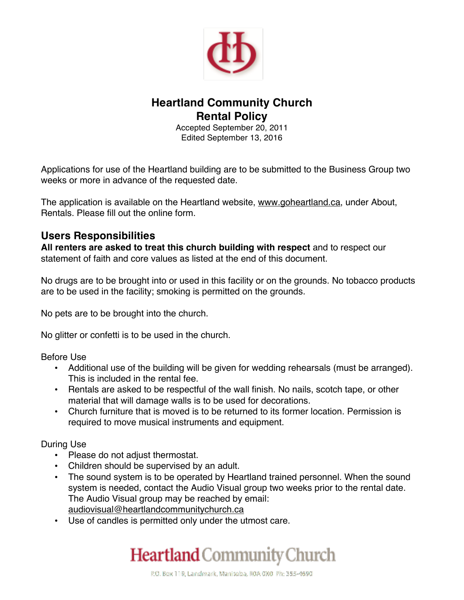

# **Heartland Community Church Rental Policy**

Accepted September 20, 2011 Edited September 13, 2016

Applications for use of the Heartland building are to be submitted to the Business Group two weeks or more in advance of the requested date.

The application is available on the Heartland website, www.goheartland.ca, under About, Rentals. Please fill out the online form.

## **Users Responsibilities**

**All renters are asked to treat this church building with respect** and to respect our statement of faith and core values as listed at the end of this document.

No drugs are to be brought into or used in this facility or on the grounds. No tobacco products are to be used in the facility; smoking is permitted on the grounds.

No pets are to be brought into the church.

No glitter or confetti is to be used in the church.

Before Use

- Additional use of the building will be given for wedding rehearsals (must be arranged). This is included in the rental fee.
- Rentals are asked to be respectful of the wall finish. No nails, scotch tape, or other material that will damage walls is to be used for decorations.
- Church furniture that is moved is to be returned to its former location. Permission is required to move musical instruments and equipment.

During Use

- Please do not adjust thermostat.
- Children should be supervised by an adult.
- The sound system is to be operated by Heartland trained personnel. When the sound system is needed, contact the Audio Visual group two weeks prior to the rental date. The Audio Visual group may be reached by email: audiovisual@heartlandcommunitychurch.ca
- Use of candles is permitted only under the utmost care.

# Heartland Community Church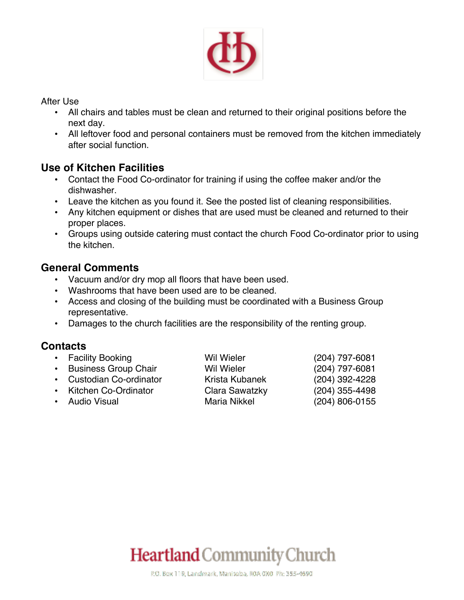

After Use

- All chairs and tables must be clean and returned to their original positions before the next day.
- All leftover food and personal containers must be removed from the kitchen immediately after social function.

## **Use of Kitchen Facilities**

- Contact the Food Co-ordinator for training if using the coffee maker and/or the dishwasher.
- Leave the kitchen as you found it. See the posted list of cleaning responsibilities.
- Any kitchen equipment or dishes that are used must be cleaned and returned to their proper places.
- Groups using outside catering must contact the church Food Co-ordinator prior to using the kitchen.

# **General Comments**

- Vacuum and/or dry mop all floors that have been used.
- Washrooms that have been used are to be cleaned.
- Access and closing of the building must be coordinated with a Business Group representative.
- Damages to the church facilities are the responsibility of the renting group.

# **Contacts**

- Facility Booking Wil Wieler (204) 797-6081
- Business Group Chair Wil Wieler (204) 797-6081
- Custodian Co-ordinator Krista Kubanek (204) 392-4228
- Kitchen Co-Ordinator Clara Sawatzky (204) 355-4498
- Audio Visual Maria Nikkel (204) 806-0155

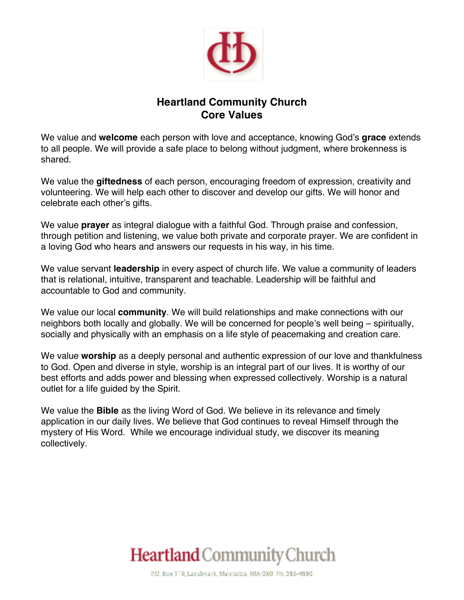

# **Heartland Community Church Core Values**

We value and **welcome** each person with love and acceptance, knowing God's **grace** extends to all people. We will provide a safe place to belong without judgment, where brokenness is shared.

We value the **giftedness** of each person, encouraging freedom of expression, creativity and volunteering. We will help each other to discover and develop our gifts. We will honor and celebrate each other's gifts.

We value **prayer** as integral dialogue with a faithful God. Through praise and confession, through petition and listening, we value both private and corporate prayer. We are confident in a loving God who hears and answers our requests in his way, in his time.

We value servant **leadership** in every aspect of church life. We value a community of leaders that is relational, intuitive, transparent and teachable. Leadership will be faithful and accountable to God and community.

We value our local **community**. We will build relationships and make connections with our neighbors both locally and globally. We will be concerned for people's well being – spiritually, socially and physically with an emphasis on a life style of peacemaking and creation care.

We value **worship** as a deeply personal and authentic expression of our love and thankfulness to God. Open and diverse in style, worship is an integral part of our lives. It is worthy of our best efforts and adds power and blessing when expressed collectively. Worship is a natural outlet for a life guided by the Spirit.

We value the **Bible** as the living Word of God. We believe in its relevance and timely application in our daily lives. We believe that God continues to reveal Himself through the mystery of His Word. While we encourage individual study, we discover its meaning collectively.

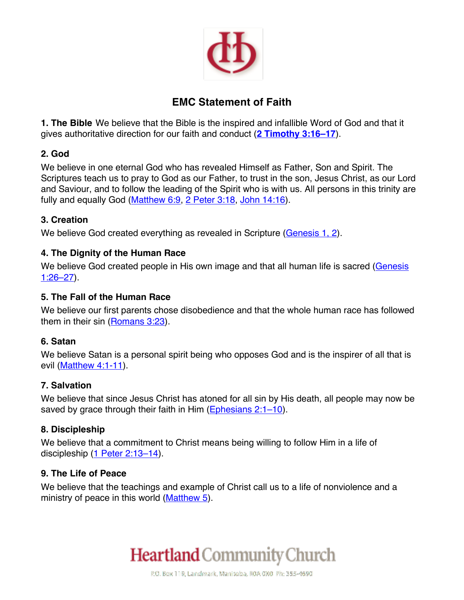

# **EMC Statement of Faith**

**1. The Bible** We believe that the Bible is the inspired and infallible Word of God and that it gives authoritative direction for our faith and conduct (**2 Timothy 3:16–17**).

## **2. God**

We believe in one eternal God who has revealed Himself as Father, Son and Spirit. The Scriptures teach us to pray to God as our Father, to trust in the son, Jesus Christ, as our Lord and Saviour, and to follow the leading of the Spirit who is with us. All persons in this trinity are fully and equally God (Matthew 6:9, 2 Peter 3:18, John 14:16).

## **3. Creation**

We believe God created everything as revealed in Scripture (Genesis 1, 2).

## **4. The Dignity of the Human Race**

We believe God created people in His own image and that all human life is sacred (Genesis  $1:26 - 27$ ).

#### **5. The Fall of the Human Race**

We believe our first parents chose disobedience and that the whole human race has followed them in their sin (Romans 3:23).

#### **6. Satan**

We believe Satan is a personal spirit being who opposes God and is the inspirer of all that is evil (Matthew 4:1-11).

#### **7. Salvation**

We believe that since Jesus Christ has atoned for all sin by His death, all people may now be saved by grace through their faith in Him (Ephesians 2:1–10).

## **8. Discipleship**

We believe that a commitment to Christ means being willing to follow Him in a life of discipleship (1 Peter 2:13-14).

#### **9. The Life of Peace**

We believe that the teachings and example of Christ call us to a life of nonviolence and a ministry of peace in this world (Matthew 5).